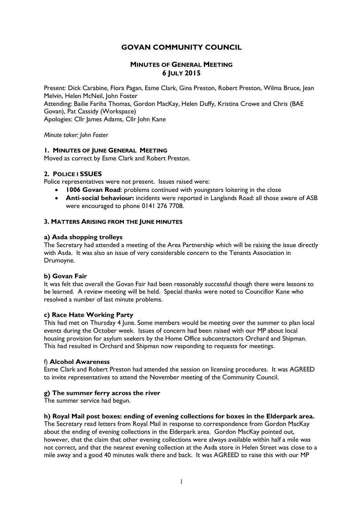# **GOVAN COMMUNITY COUNCIL**

## **MINUTES OF GENERAL MEETING 6 JULY 2015**

Present: Dick Carabine, Flora Pagan, Esme Clark, Gina Preston, Robert Preston, Wilma Bruce, Jean Melvin, Helen McNeil, John Foster Attending: Bailie Fariha Thomas, Gordon MacKay, Helen Duffy, Kristina Crowe and Chris (BAE Govan), Pat Cassidy (Workspace) Apologies: Cllr James Adams, Cllr John Kane

*Minute taker: John Foster*

### **1. MINUTES OF JUNE GENERAL MEETING**

Moved as correct by Esme Clark and Robert Preston.

## **2. POLICE I SSUES**

Police representatives were not present. Issues raised were:

- **1006 Govan Road:** problems continued with youngsters loitering in the close
- **Anti**-**social behaviour:** incidents were reported in Langlands Road: all those aware of ASB were encouraged to phone 0141 276 7708.

## **3. MATTERS ARISING FROM THE JUNE MINUTES**

### **a) Asda shopping trolleys**

The Secretary had attended a meeting of the Area Partnership which will be raising the issue directly with Asda. It was also an issue of very considerable concern to the Tenants Association in Drumoyne.

## **b) Govan Fair**

It was felt that overall the Govan Fair had been reasonably successful though there were lessons to be learned. A review meeting will be held. Special thanks were noted to Councillor Kane who resolved a number of last minute problems.

### **c) Race Hate Working Party**

This had met on Thursday 4 June. Some members would be meeting over the summer to plan local events during the October week. Issues of concern had been raised with our MP about local housing provision for asylum seekers by the Home Office subcontractors Orchard and Shipman. This had resulted in Orchard and Shipman now responding to requests for meetings.

### f) **Alcohol Awareness**

Esme Clark and Robert Preston had attended the session on licensing procedures. It was AGREED to invite representatives to attend the November meeting of the Community Council.

## **g) The summer ferry across the river**

The summer service had begun.

### **h) Royal Mail post boxes: ending of evening collections for boxes in the Elderpark area.**

The Secretary read letters from Royal Mail in response to correspondence from Gordon MacKay about the ending of evening collections in the Elderpark area. Gordon MacKay pointed out, however, that the claim that other evening collections were always available within half a mile was not correct, and that the nearest evening collection at the Asda store in Helen Street was close to a mile away and a good 40 minutes walk there and back. It was AGREED to raise this with our MP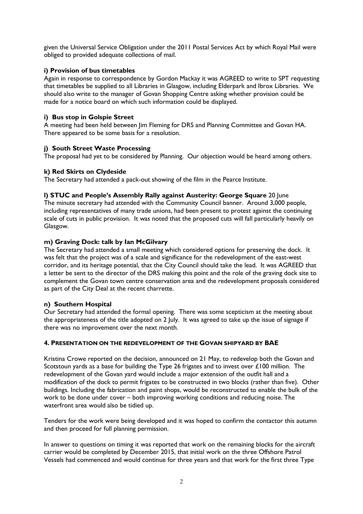given the Universal Service Obligation under the 2011 Postal Services Act by which Royal Mail were obliged to provided adequate collections of mail.

# **i) Provision of bus timetables**

Again in response to correspondence by Gordon Mackay it was AGREED to write to SPT requesting that timetables be supplied to all Libraries in Glasgow, including Elderpark and Ibrox Libraries. We should also write to the manager of Govan Shopping Centre asking whether provision could be made for a notice board on which such information could be displayed.

# **i) Bus stop in Golspie Street**

A meeting had been held between Jim Fleming for DRS and Planning Committee and Govan HA. There appeared to be some basis for a resolution.

# **j) South Street Waste Processing**

The proposal had yet to be considered by Planning. Our objection would be heard among others.

## **k) Red Skirts on Clydeside**

The Secretary had attended a pack-out showing of the film in the Pearce Institute.

# **l) STUC and People's Assembly Rally against Austerity: George Square** 20 June

The minute secretary had attended with the Community Council banner. Around 3,000 people, including representatives of many trade unions, had been present to protest against the continuing scale of cuts in public provision. It was noted that the proposed cuts will fall particularly heavily on Glasgow.

## **m) Graving Dock: talk by Ian McGilvary**

The Secretary had attended a small meeting which considered options for preserving the dock. It was felt that the project was of a scale and significance for the redevelopment of the east-west corridor, and its heritage potential, that the City Council should take the lead. It was AGREED that a letter be sent to the director of the DRS making this point and the role of the graving dock site to complement the Govan town centre conservation area and the redevelopment proposals considered as part of the City Deal at the recent charrette.

## **n) Southern Hospital**

Our Secretary had attended the formal opening. There was some scepticism at the meeting about the appropriateness of the title adopted on 2 July. It was agreed to take up the issue of signage if there was no improvement over the next month.

## **4. PRESENTATION ON THE REDEVELOPMENT OF THE GOVAN SHIPYARD BY BAE**

Kristina Crowe reported on the decision, announced on 21 May, to redevelop both the Govan and Scotstoun yards as a base for building the Type 26 frigates and to invest over £100 million. The redevelopment of the Govan yard would include a major extension of the outfit hall and a modification of the dock to permit frigates to be constructed in two blocks (rather than five). Other buildings. Including the fabrication and paint shops, would be reconstructed to enable the bulk of the work to be done under cover – both improving working conditions and reducing noise. The waterfront area would also be tidied up.

Tenders for the work were being developed and it was hoped to confirm the contactor this autumn and then proceed for full planning permission.

In answer to questions on timing it was reported that work on the remaining blocks for the aircraft carrier would be completed by December 2015, that initial work on the three Offshore Patrol Vessels had commenced and would continue for three years and that work for the first three Type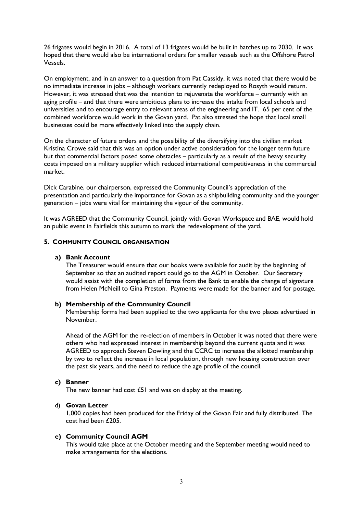26 frigates would begin in 2016. A total of 13 frigates would be built in batches up to 2030. It was hoped that there would also be international orders for smaller vessels such as the Offshore Patrol Vessels.

On employment, and in an answer to a question from Pat Cassidy, it was noted that there would be no immediate increase in jobs – although workers currently redeployed to Rosyth would return. However, it was stressed that was the intention to rejuvenate the workforce – currently with an aging profile – and that there were ambitious plans to increase the intake from local schools and universities and to encourage entry to relevant areas of the engineering and IT. 65 per cent of the combined workforce would work in the Govan yard. Pat also stressed the hope that local small businesses could be more effectively linked into the supply chain.

On the character of future orders and the possibility of the diversifying into the civilian market Kristina Crowe said that this was an option under active consideration for the longer term future but that commercial factors posed some obstacles – particularly as a result of the heavy security costs imposed on a military supplier which reduced international competitiveness in the commercial market.

Dick Carabine, our chairperson, expressed the Community Council's appreciation of the presentation and particularly the importance for Govan as a shipbuilding community and the younger generation – jobs were vital for maintaining the vigour of the community.

It was AGREED that the Community Council, jointly with Govan Workspace and BAE, would hold an public event in Fairfields this autumn to mark the redevelopment of the yard.

### **5. COMMUNITY COUNCIL ORGANISATION**

#### **a) Bank Account**

The Treasurer would ensure that our books were available for audit by the beginning of September so that an audited report could go to the AGM in October. Our Secretary would assist with the completion of forms from the Bank to enable the change of signature from Helen McNeill to Gina Preston. Payments were made for the banner and for postage.

### **b) Membership of the Community Council**

Membership forms had been supplied to the two applicants for the two places advertised in November.

Ahead of the AGM for the re-election of members in October it was noted that there were others who had expressed interest in membership beyond the current quota and it was AGREED to approach Steven Dowling and the CCRC to increase the allotted membership by two to reflect the increase in local population, through new housing construction over the past six years, and the need to reduce the age profile of the council.

### **c) Banner**

The new banner had cost  $£51$  and was on display at the meeting.

### d) **Govan Letter**

1,000 copies had been produced for the Friday of the Govan Fair and fully distributed. The cost had been £205.

## **e) Community Council AGM**

This would take place at the October meeting and the September meeting would need to make arrangements for the elections.